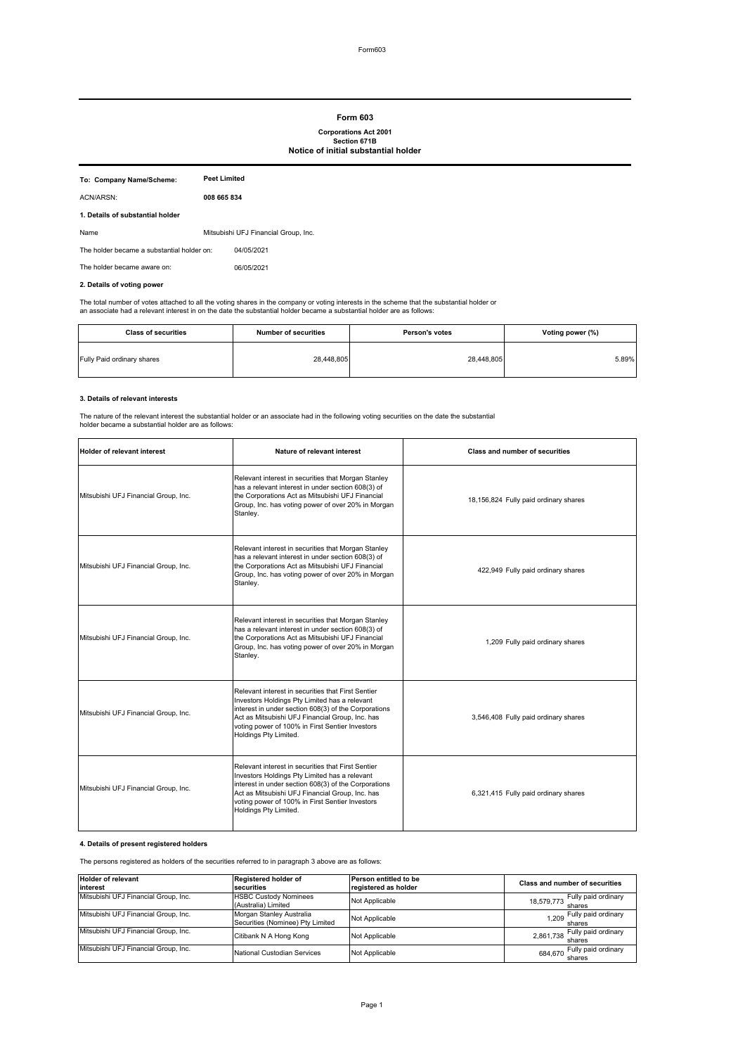#### **Form 603**

# **Corporations Act 2001 Section 671B**

## **Notice of initial substantial holder**

| To: Company Name/Scheme:                   | <b>Peet Limited</b> |                                      |
|--------------------------------------------|---------------------|--------------------------------------|
| ACN/ARSN:                                  | 008 665 834         |                                      |
| 1. Details of substantial holder           |                     |                                      |
| Name                                       |                     | Mitsubishi UFJ Financial Group, Inc. |
| The holder became a substantial holder on: |                     | 04/05/2021                           |
| The holder became aware on:                |                     | 06/05/2021                           |
|                                            |                     |                                      |

## **2. Details of voting power**

The total number of votes attached to all the voting shares in the company or voting interests in the scheme that the substantial holder or<br>an associate had a relevant interest in on the date the substantial holder became

| <b>Class of securities</b> | <b>Number of securities</b> | Person's votes | Voting power (%) |
|----------------------------|-----------------------------|----------------|------------------|
| Fully Paid ordinary shares | 28,448,805                  | 28,448,805     | 5.89%            |

#### **3. Details of relevant interests**

The nature of the relevant interest the substantial holder or an associate had in the following voting securities on the date the substantial holder became a substantial holder are as follows:

| <b>Holder of relevant interest</b>   | Nature of relevant interest                                                                                                                                                                                                                                                                | <b>Class and number of securities</b> |
|--------------------------------------|--------------------------------------------------------------------------------------------------------------------------------------------------------------------------------------------------------------------------------------------------------------------------------------------|---------------------------------------|
| Mitsubishi UFJ Financial Group, Inc. | Relevant interest in securities that Morgan Stanley<br>has a relevant interest in under section 608(3) of<br>the Corporations Act as Mitsubishi UFJ Financial<br>Group, Inc. has voting power of over 20% in Morgan<br>Stanley.                                                            | 18,156,824 Fully paid ordinary shares |
| Mitsubishi UFJ Financial Group, Inc. | Relevant interest in securities that Morgan Stanley<br>has a relevant interest in under section 608(3) of<br>the Corporations Act as Mitsubishi UFJ Financial<br>Group, Inc. has voting power of over 20% in Morgan<br>Stanley.                                                            | 422,949 Fully paid ordinary shares    |
| Mitsubishi UFJ Financial Group, Inc. | Relevant interest in securities that Morgan Stanley<br>has a relevant interest in under section 608(3) of<br>the Corporations Act as Mitsubishi UFJ Financial<br>Group, Inc. has voting power of over 20% in Morgan<br>Stanley.                                                            | 1,209 Fully paid ordinary shares      |
| Mitsubishi UFJ Financial Group, Inc. | Relevant interest in securities that First Sentier<br>Investors Holdings Pty Limited has a relevant<br>interest in under section 608(3) of the Corporations<br>Act as Mitsubishi UFJ Financial Group, Inc. has<br>voting power of 100% in First Sentier Investors<br>Holdings Pty Limited. | 3,546,408 Fully paid ordinary shares  |
| Mitsubishi UFJ Financial Group, Inc. | Relevant interest in securities that First Sentier<br>Investors Holdings Pty Limited has a relevant<br>interest in under section 608(3) of the Corporations<br>Act as Mitsubishi UFJ Financial Group, Inc. has<br>voting power of 100% in First Sentier Investors<br>Holdings Pty Limited. | 6,321,415 Fully paid ordinary shares  |

## **4. Details of present registered holders**

The persons registered as holders of the securities referred to in paragraph 3 above are as follows:

| <b>Holder of relevant</b>            | Registered holder of             | Person entitled to be | <b>Class and number of securities</b> |
|--------------------------------------|----------------------------------|-----------------------|---------------------------------------|
| linterest                            | securities                       | registered as holder  |                                       |
| Mitsubishi UFJ Financial Group, Inc. | <b>HSBC Custody Nominees</b>     | Not Applicable        | Fully paid ordinary<br>18,579,773     |
|                                      | (Australia) Limited              |                       | shares                                |
| Mitsubishi UFJ Financial Group, Inc. | Morgan Stanley Australia         | Not Applicable        | 1,209 Fully paid ordinary             |
|                                      | Securities (Nominee) Pty Limited |                       | shares                                |
| Mitsubishi UFJ Financial Group, Inc. | Citibank N A Hong Kong           | Not Applicable        | Fully paid ordinary<br>2,861,738      |
|                                      |                                  |                       | shares                                |
| Mitsubishi UFJ Financial Group, Inc. | National Custodian Services      | Not Applicable        | Fully paid ordinary<br>684.670        |
|                                      |                                  |                       | shares                                |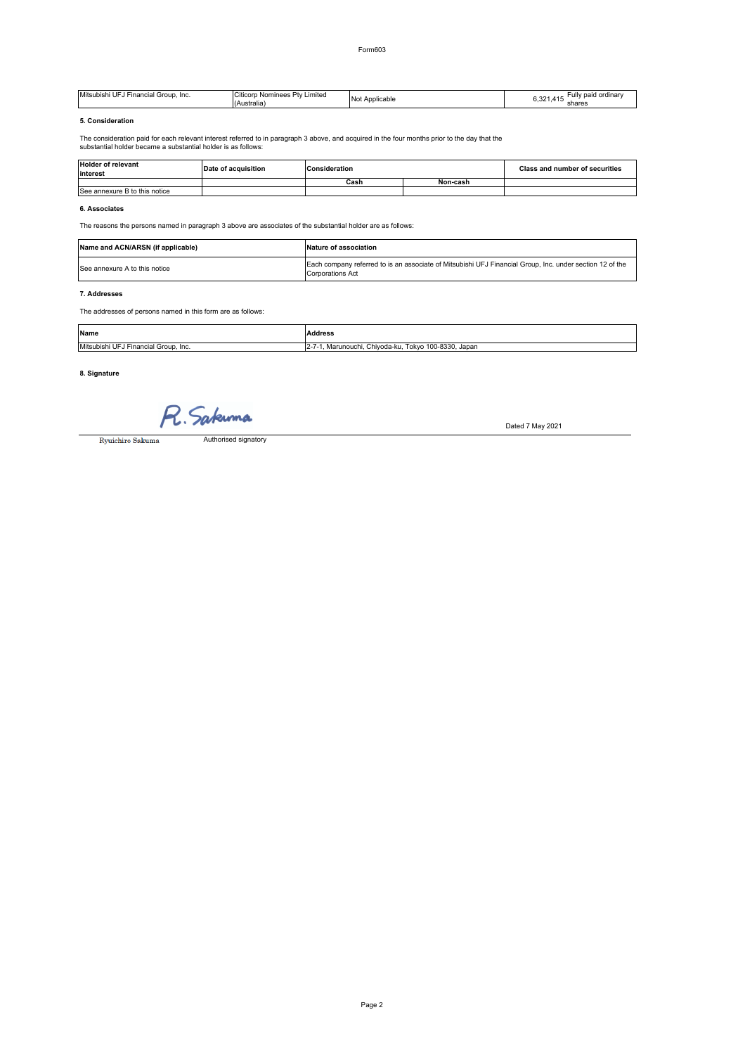| Mitsubishi UFJ<br>Group<br>те<br>. <sub>"</sub> cia" | $-20.11$<br>∟imited<br>Dh.<br>' ticorp، ن<br>Nominees<br>(Australia) | <b>No</b><br>licable<br>ADDI <sub>1</sub> | Fully paid ordinar<br>$\sim$<br>. .<br>ບ.ບ∠<br>shares |
|------------------------------------------------------|----------------------------------------------------------------------|-------------------------------------------|-------------------------------------------------------|
|------------------------------------------------------|----------------------------------------------------------------------|-------------------------------------------|-------------------------------------------------------|

# **5. Consideration**

The consideration paid for each relevant interest referred to in paragraph 3 above, and acquired in the four months prior to the day that the substantial holder became a substantial holder is as follows:

| <b>Holder of relevant</b><br>interest | Date of acquisition | <b>Consideration</b> |          | <b>Class and number of securities</b> |
|---------------------------------------|---------------------|----------------------|----------|---------------------------------------|
|                                       |                     | Cash                 | Non-cash |                                       |
| See annexure B to this notice         |                     |                      |          |                                       |

## **6. Associates**

The reasons the persons named in paragraph 3 above are associates of the substantial holder are as follows:

| Name and ACN/ARSN (if applicable) | Nature of association                                                                                                        |
|-----------------------------------|------------------------------------------------------------------------------------------------------------------------------|
| See annexure A to this notice     | Each company referred to is an associate of Mitsubishi UFJ Financial Group. Inc. under section 12 of the<br>Corporations Act |

#### **7. Addresses**

The addresses of persons named in this form are as follows:

| <b>Name</b>                             | Address                                                          |
|-----------------------------------------|------------------------------------------------------------------|
| Mitsubishi UFJ Financial Group.<br>Inc. | Tokvo 100-8330, Japan<br>Chivoda-ku.<br>Marunouchi<br>$L^{\sim}$ |

## **8. Signature**

R. Sakunna

Dated 7 May 2021

Ryuichiro Sakuma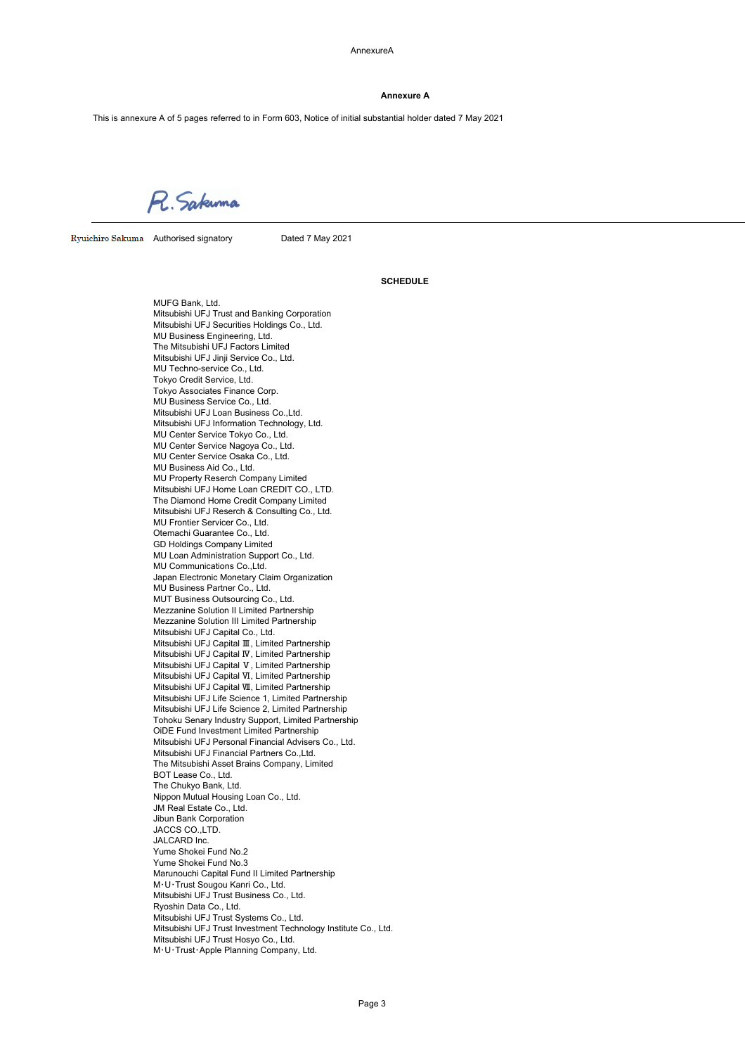AnnexureA

#### **Annexure A**

This is annexure A of 5 pages referred to in Form 603, Notice of initial substantial holder dated 7 May 2021

R. Sakuma

Ryuichiro Sakuma Authorised signatory Dated 7 May 2021

## **SCHEDULE**

MUFG Bank, Ltd. Mitsubishi UFJ Trust and Banking Corporation Mitsubishi UFJ Securities Holdings Co., Ltd. MU Business Engineering, Ltd. The Mitsubishi UFJ Factors Limited Mitsubishi UFJ Jinji Service Co., Ltd. MU Techno-service Co., Ltd. Tokyo Credit Service, Ltd. Tokyo Associates Finance Corp. MU Business Service Co., Ltd. Mitsubishi UFJ Loan Business Co.,Ltd. Mitsubishi UFJ Information Technology, Ltd. MU Center Service Tokyo Co., Ltd. MU Center Service Nagoya Co., Ltd. MU Center Service Osaka Co., Ltd. MU Business Aid Co., Ltd. MU Property Reserch Company Limited Mitsubishi UFJ Home Loan CREDIT CO., LTD. The Diamond Home Credit Company Limited Mitsubishi UFJ Reserch & Consulting Co., Ltd. MU Frontier Servicer Co., Ltd. Otemachi Guarantee Co., Ltd. GD Holdings Company Limited MU Loan Administration Support Co., Ltd. MU Communications Co.,Ltd. Japan Electronic Monetary Claim Organization MU Business Partner Co., Ltd. MUT Business Outsourcing Co., Ltd. Mezzanine Solution II Limited Partnership Mezzanine Solution III Limited Partnership Mitsubishi UFJ Capital Co., Ltd. Mitsubishi UFJ Capital Ⅲ, Limited Partnership Mitsubishi UFJ Capital Ⅳ, Limited Partnership Mitsubishi UFJ Capital Ⅴ, Limited Partnership Mitsubishi UFJ Capital Ⅵ, Limited Partnership Mitsubishi UFJ Capital Ⅶ, Limited Partnership Mitsubishi UFJ Life Science 1, Limited Partnership Mitsubishi UFJ Life Science 2, Limited Partnership Tohoku Senary Industry Support, Limited Partnership OiDE Fund Investment Limited Partnership Mitsubishi UFJ Personal Financial Advisers Co., Ltd. Mitsubishi UFJ Financial Partners Co.,Ltd. The Mitsubishi Asset Brains Company, Limited BOT Lease Co., Ltd. The Chukyo Bank, Ltd. Nippon Mutual Housing Loan Co., Ltd. JM Real Estate Co., Ltd. Jibun Bank Corporation JACCS CO.,LTD. JALCARD Inc. Yume Shokei Fund No.2 Yume Shokei Fund No.3 Marunouchi Capital Fund II Limited Partnership M・U・Trust Sougou Kanri Co., Ltd. Mitsubishi UFJ Trust Business Co., Ltd. Ryoshin Data Co., Ltd. Mitsubishi UFJ Trust Systems Co., Ltd. Mitsubishi UFJ Trust Investment Technology Institute Co., Ltd. Mitsubishi UFJ Trust Hosyo Co., Ltd. M・U・Trust・Apple Planning Company, Ltd.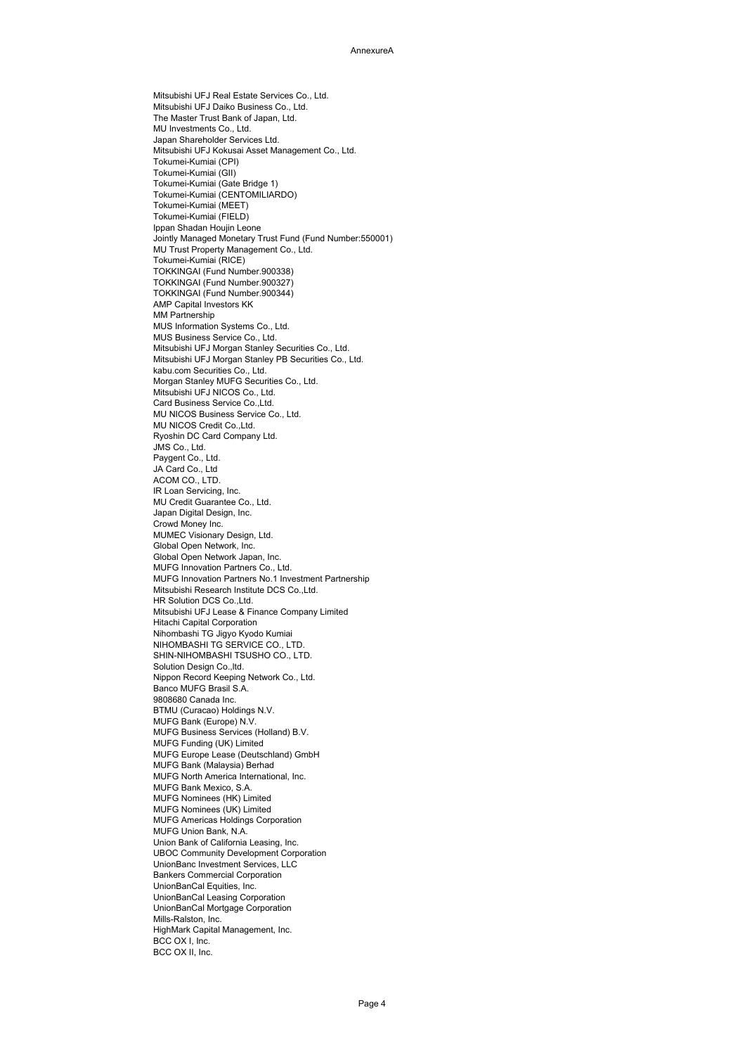Mitsubishi UFJ Real Estate Services Co., Ltd. Mitsubishi UFJ Daiko Business Co., Ltd. The Master Trust Bank of Japan, Ltd. MU Investments Co., Ltd. Japan Shareholder Services Ltd. Mitsubishi UFJ Kokusai Asset Management Co., Ltd. Tokumei-Kumiai (CPI) Tokumei-Kumiai (GII) Tokumei-Kumiai (Gate Bridge 1) Tokumei-Kumiai (CENTOMILIARDO) Tokumei-Kumiai (MEET) Tokumei-Kumiai (FIELD) Ippan Shadan Houjin Leone Jointly Managed Monetary Trust Fund (Fund Number:550001) MU Trust Property Management Co., Ltd. Tokumei-Kumiai (RICE) TOKKINGAI (Fund Number.900338) TOKKINGAI (Fund Number.900327) TOKKINGAI (Fund Number.900344) AMP Capital Investors KK MM Partnership MUS Information Systems Co., Ltd. MUS Business Service Co., Ltd. Mitsubishi UFJ Morgan Stanley Securities Co., Ltd. Mitsubishi UFJ Morgan Stanley PB Securities Co., Ltd. kabu.com Securities Co., Ltd. Morgan Stanley MUFG Securities Co., Ltd. Mitsubishi UFJ NICOS Co., Ltd. Card Business Service Co.,Ltd. MU NICOS Business Service Co., Ltd. MU NICOS Credit Co.,Ltd. Ryoshin DC Card Company Ltd. JMS Co., Ltd. Paygent Co., Ltd. JA Card Co., Ltd ACOM CO., LTD. IR Loan Servicing, Inc. MU Credit Guarantee Co., Ltd. Japan Digital Design, Inc. Crowd Money Inc. MUMEC Visionary Design, Ltd. Global Open Network, Inc. Global Open Network Japan, Inc. MUFG Innovation Partners Co., Ltd. MUFG Innovation Partners No.1 Investment Partnership Mitsubishi Research Institute DCS Co.,Ltd. HR Solution DCS Co.,Ltd. Mitsubishi UFJ Lease & Finance Company Limited Hitachi Capital Corporation Nihombashi TG Jigyo Kyodo Kumiai NIHOMBASHI TG SERVICE CO., LTD. SHIN-NIHOMBASHI TSUSHO CO., LTD. Solution Design Co.,ltd. Nippon Record Keeping Network Co., Ltd. Banco MUFG Brasil S.A. 9808680 Canada Inc. BTMU (Curacao) Holdings N.V. MUFG Bank (Europe) N.V. MUFG Business Services (Holland) B.V. MUFG Funding (UK) Limited MUFG Europe Lease (Deutschland) GmbH MUFG Bank (Malaysia) Berhad MUFG North America International, Inc. MUFG Bank Mexico, S.A. MUFG Nominees (HK) Limited MUFG Nominees (UK) Limited MUFG Americas Holdings Corporation MUFG Union Bank, N.A. Union Bank of California Leasing, Inc. UBOC Community Development Corporation UnionBanc Investment Services, LLC Bankers Commercial Corporation UnionBanCal Equities, Inc. UnionBanCal Leasing Corporation UnionBanCal Mortgage Corporation Mills-Ralston, Inc. HighMark Capital Management, Inc. BCC OX I, Inc. BCC OX II, Inc.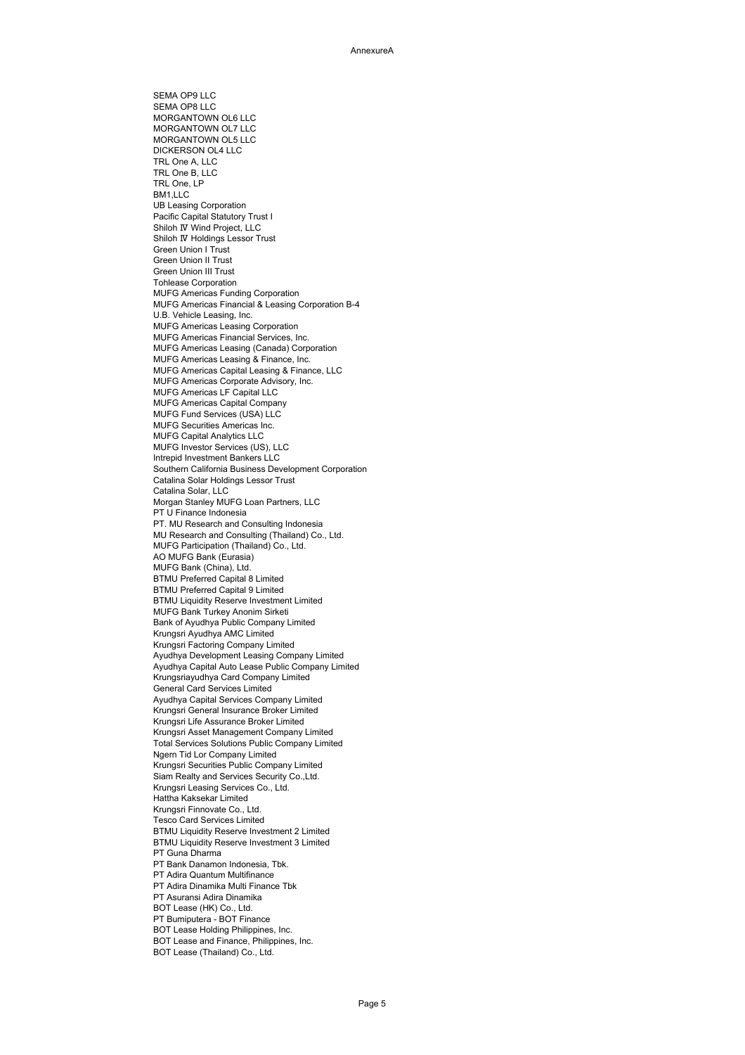SEMA OP9 LLC SEMA OP8 LLC MORGANTOWN OL6 LLC MORGANTOWN OL7 LLC MORGANTOWN OL5 LLC DICKERSON OL4 LLC TRL One A, LLC TRL One B, LLC TRL One, LP BM1<sub>IIC</sub> UB Leasing Corporation Pacific Capital Statutory Trust I Shiloh Ⅳ Wind Project, LLC Shiloh Ⅳ Holdings Lessor Trust Green Union I Trust Green Union II Trust Green Union III Trust Tohlease Corporation MUFG Americas Funding Corporation MUFG Americas Financial & Leasing Corporation B-4 U.B. Vehicle Leasing, Inc. MUFG Americas Leasing Corporation MUFG Americas Financial Services, Inc. MUFG Americas Leasing (Canada) Corporation MUFG Americas Leasing & Finance, Inc. MUFG Americas Capital Leasing & Finance, LLC MUFG Americas Corporate Advisory, Inc. MUFG Americas LF Capital LLC MUFG Americas Capital Company MUFG Fund Services (USA) LLC MUFG Securities Americas Inc. MUFG Capital Analytics LLC MUFG Investor Services (US), LLC Intrepid Investment Bankers LLC Southern California Business Development Corporation Catalina Solar Holdings Lessor Trust Catalina Solar, LLC Morgan Stanley MUFG Loan Partners, LLC PT U Finance Indonesia PT. MU Research and Consulting Indonesia MU Research and Consulting (Thailand) Co., Ltd. MUFG Participation (Thailand) Co., Ltd. AO MUFG Bank (Eurasia) MUFG Bank (China), Ltd. BTMU Preferred Capital 8 Limited BTMU Preferred Capital 9 Limited BTMU Liquidity Reserve Investment Limited MUFG Bank Turkey Anonim Sirketi Bank of Ayudhya Public Company Limited Krungsri Ayudhya AMC Limited Krungsri Factoring Company Limited Ayudhya Development Leasing Company Limited Ayudhya Capital Auto Lease Public Company Limited Krungsriayudhya Card Company Limited General Card Services Limited Ayudhya Capital Services Company Limited Krungsri General Insurance Broker Limited Krungsri Life Assurance Broker Limited Krungsri Asset Management Company Limited Total Services Solutions Public Company Limited Ngern Tid Lor Company Limited Krungsri Securities Public Company Limited Siam Realty and Services Security Co.,Ltd. Krungsri Leasing Services Co., Ltd. Hattha Kaksekar Limited Krungsri Finnovate Co., Ltd. Tesco Card Services Limited BTMU Liquidity Reserve Investment 2 Limited BTMU Liquidity Reserve Investment 3 Limited PT Guna Dharma PT Bank Danamon Indonesia, Tbk. PT Adira Quantum Multifinance PT Adira Dinamika Multi Finance Tbk PT Asuransi Adira Dinamika BOT Lease (HK) Co., Ltd. PT Bumiputera - BOT Finance BOT Lease Holding Philippines, Inc. BOT Lease and Finance, Philippines, Inc.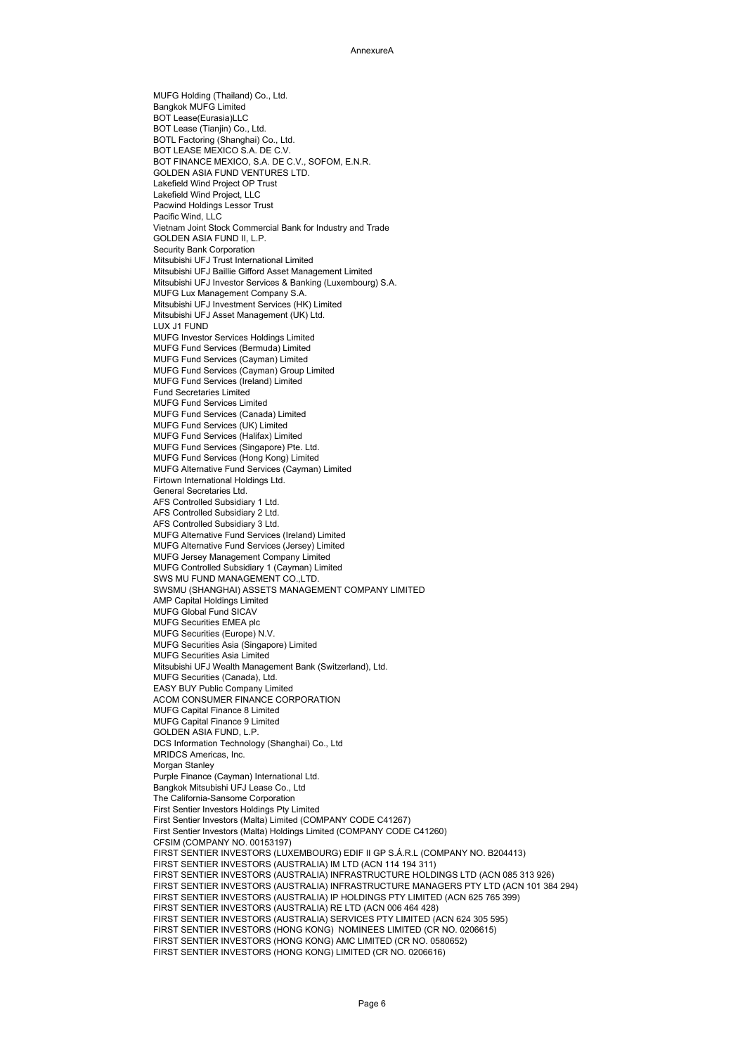MUFG Holding (Thailand) Co., Ltd. Bangkok MUFG Limited BOT Lease(Eurasia)LLC BOT Lease (Tianjin) Co., Ltd. BOTL Factoring (Shanghai) Co., Ltd. BOT LEASE MEXICO S.A. DE C.V. BOT FINANCE MEXICO, S.A. DE C.V., SOFOM, E.N.R. GOLDEN ASIA FUND VENTURES LTD. Lakefield Wind Project OP Trust Lakefield Wind Project, LLC Pacwind Holdings Lessor Trust Pacific Wind, LLC Vietnam Joint Stock Commercial Bank for Industry and Trade GOLDEN ASIA FUND ILL P. Security Bank Corporation Mitsubishi UFJ Trust International Limited Mitsubishi UFJ Baillie Gifford Asset Management Limited Mitsubishi UFJ Investor Services & Banking (Luxembourg) S.A. MUFG Lux Management Company S.A. Mitsubishi UFJ Investment Services (HK) Limited Mitsubishi UFJ Asset Management (UK) Ltd. LUX J1 FUND MUFG Investor Services Holdings Limited MUFG Fund Services (Bermuda) Limited MUFG Fund Services (Cayman) Limited MUFG Fund Services (Cayman) Group Limited MUFG Fund Services (Ireland) Limited Fund Secretaries Limited MUFG Fund Services Limited MUFG Fund Services (Canada) Limited MUFG Fund Services (UK) Limited MUFG Fund Services (Halifax) Limited MUFG Fund Services (Singapore) Pte. Ltd. MUFG Fund Services (Hong Kong) Limited MUFG Alternative Fund Services (Cayman) Limited Firtown International Holdings Ltd. General Secretaries Ltd. AFS Controlled Subsidiary 1 Ltd. AFS Controlled Subsidiary 2 Ltd. AFS Controlled Subsidiary 3 Ltd. MUFG Alternative Fund Services (Ireland) Limited MUFG Alternative Fund Services (Jersey) Limited MUFG Jersey Management Company Limited MUFG Controlled Subsidiary 1 (Cayman) Limited SWS MU FUND MANAGEMENT CO.,LTD. SWSMU (SHANGHAI) ASSETS MANAGEMENT COMPANY LIMITED AMP Capital Holdings Limited MUFG Global Fund SICAV MUFG Securities EMEA plc MUFG Securities (Europe) N.V. MUFG Securities Asia (Singapore) Limited MUFG Securities Asia Limited Mitsubishi UFJ Wealth Management Bank (Switzerland), Ltd. MUFG Securities (Canada), Ltd. EASY BUY Public Company Limited ACOM CONSUMER FINANCE CORPORATION MUFG Capital Finance 8 Limited MUFG Capital Finance 9 Limited GOLDEN ASIA FUND, L.P. DCS Information Technology (Shanghai) Co., Ltd MRIDCS Americas, Inc. Morgan Stanley Purple Finance (Cayman) International Ltd. Bangkok Mitsubishi UFJ Lease Co., Ltd The California-Sansome Corporation First Sentier Investors Holdings Pty Limited First Sentier Investors (Malta) Limited (COMPANY CODE C41267) First Sentier Investors (Malta) Holdings Limited (COMPANY CODE C41260) CFSIM (COMPANY NO. 00153197) FIRST SENTIER INVESTORS (LUXEMBOURG) EDIF II GP S.Á.R.L (COMPANY NO. B204413) FIRST SENTIER INVESTORS (AUSTRALIA) IM LTD (ACN 114 194 311) FIRST SENTIER INVESTORS (AUSTRALIA) INFRASTRUCTURE HOLDINGS LTD (ACN 085 313 926) FIRST SENTIER INVESTORS (AUSTRALIA) INFRASTRUCTURE MANAGERS PTY LTD (ACN 101 384 294) FIRST SENTIER INVESTORS (AUSTRALIA) IP HOLDINGS PTY LIMITED (ACN 625 765 399) FIRST SENTIER INVESTORS (AUSTRALIA) RE LTD (ACN 006 464 428) FIRST SENTIER INVESTORS (AUSTRALIA) SERVICES PTY LIMITED (ACN 624 305 595) FIRST SENTIER INVESTORS (HONG KONG) NOMINEES LIMITED (CR NO. 0206615) FIRST SENTIER INVESTORS (HONG KONG) AMC LIMITED (CR NO. 0580652) FIRST SENTIER INVESTORS (HONG KONG) LIMITED (CR NO. 0206616)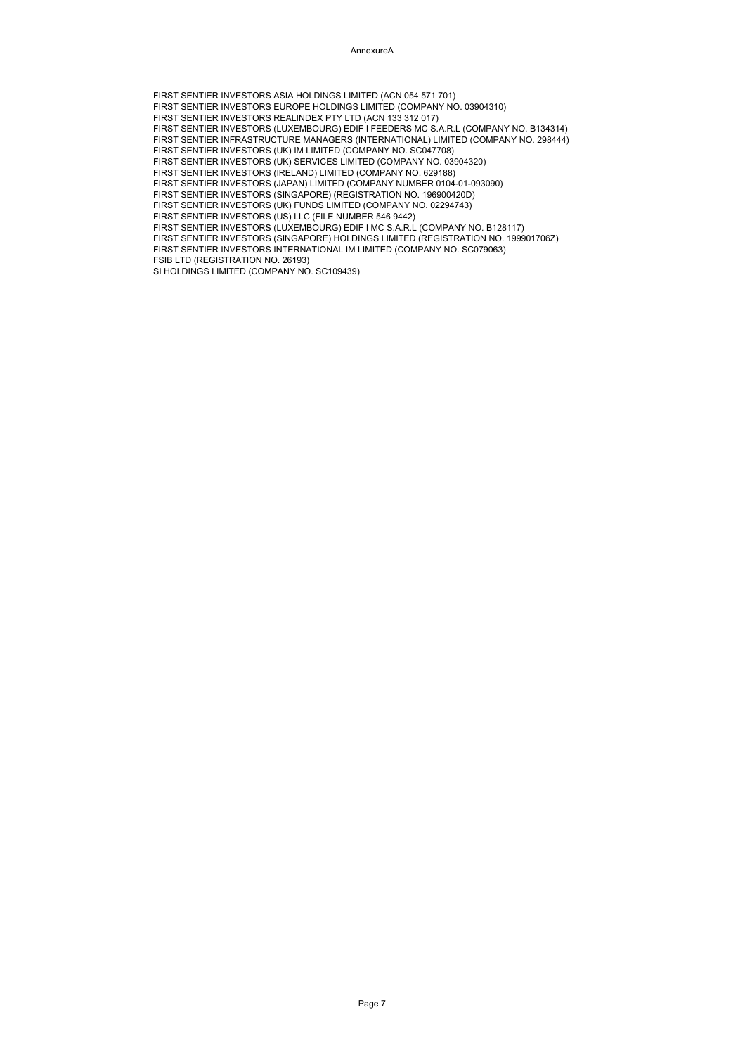AnnexureA

FIRST SENTIER INVESTORS ASIA HOLDINGS LIMITED (ACN 054 571 701) FIRST SENTIER INVESTORS EUROPE HOLDINGS LIMITED (COMPANY NO. 03904310) FIRST SENTIER INVESTORS REALINDEX PTY LTD (ACN 133 312 017) FIRST SENTIER INVESTORS (LUXEMBOURG) EDIF I FEEDERS MC S.A.R.L (COMPANY NO. B134314) FIRST SENTIER INFRASTRUCTURE MANAGERS (INTERNATIONAL) LIMITED (COMPANY NO. 298444) FIRST SENTIER INVESTORS (UK) IM LIMITED (COMPANY NO. SC047708) FIRST SENTIER INVESTORS (UK) SERVICES LIMITED (COMPANY NO. 03904320) FIRST SENTIER INVESTORS (IRELAND) LIMITED (COMPANY NO. 629188) FIRST SENTIER INVESTORS (JAPAN) LIMITED (COMPANY NUMBER 0104-01-093090) FIRST SENTIER INVESTORS (SINGAPORE) (REGISTRATION NO. 196900420D) FIRST SENTIER INVESTORS (UK) FUNDS LIMITED (COMPANY NO. 02294743) FIRST SENTIER INVESTORS (US) LLC (FILE NUMBER 546 9442) FIRST SENTIER INVESTORS (LUXEMBOURG) EDIF I MC S.A.R.L (COMPANY NO. B128117) FIRST SENTIER INVESTORS (SINGAPORE) HOLDINGS LIMITED (REGISTRATION NO. 199901706Z) FIRST SENTIER INVESTORS INTERNATIONAL IM LIMITED (COMPANY NO. SC079063) FSIB LTD (REGISTRATION NO. 26193) SI HOLDINGS LIMITED (COMPANY NO. SC109439)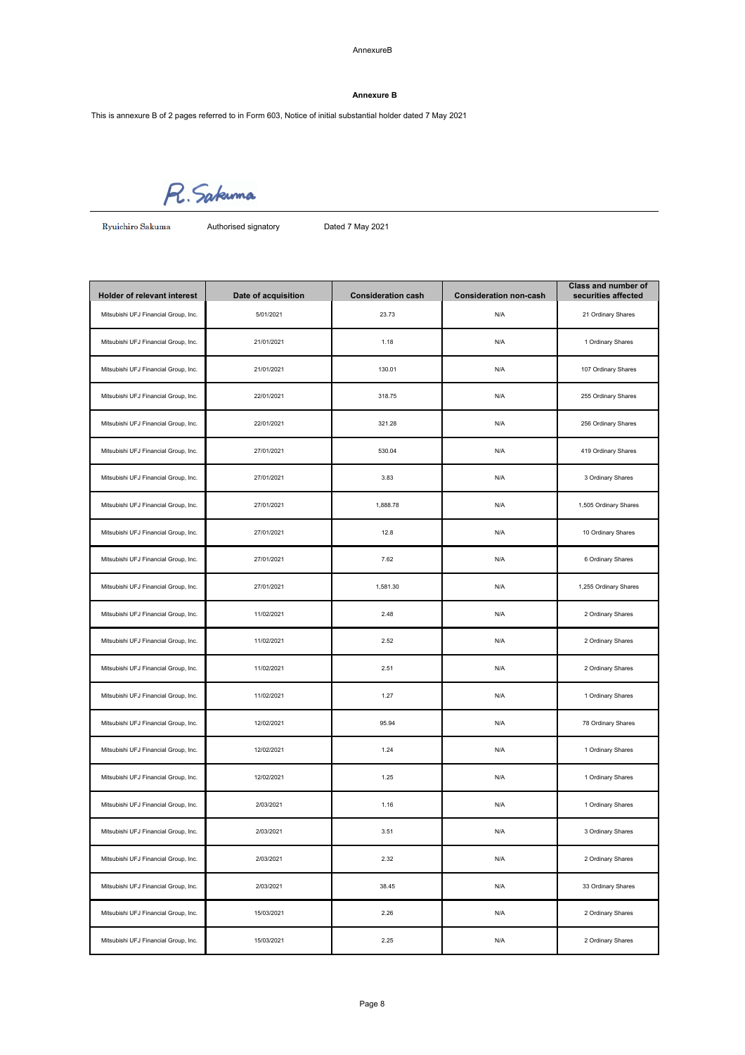AnnexureB

## **Annexure B**

This is annexure B of 2 pages referred to in Form 603, Notice of initial substantial holder dated 7 May 2021

R. Sakuma

Ryuichiro Sakuma

Authorised signatory Dated 7 May 2021

| <b>Holder of relevant interest</b>   | Date of acquisition | <b>Consideration cash</b> | <b>Consideration non-cash</b> | Class and number of<br>securities affected |
|--------------------------------------|---------------------|---------------------------|-------------------------------|--------------------------------------------|
| Mitsubishi UFJ Financial Group, Inc. | 5/01/2021           | 23.73                     | N/A                           | 21 Ordinary Shares                         |
| Mitsubishi UFJ Financial Group, Inc. | 21/01/2021          | 1.18                      | N/A                           | 1 Ordinary Shares                          |
| Mitsubishi UFJ Financial Group, Inc. | 21/01/2021          | 130.01                    | N/A                           | 107 Ordinary Shares                        |
| Mitsubishi UFJ Financial Group, Inc. | 22/01/2021          | 318.75                    | N/A                           | 255 Ordinary Shares                        |
| Mitsubishi UFJ Financial Group, Inc. | 22/01/2021          | 321.28                    | N/A                           | 256 Ordinary Shares                        |
| Mitsubishi UFJ Financial Group, Inc. | 27/01/2021          | 530.04                    | N/A                           | 419 Ordinary Shares                        |
| Mitsubishi UFJ Financial Group, Inc. | 27/01/2021          | 3.83                      | N/A                           | 3 Ordinary Shares                          |
| Mitsubishi UFJ Financial Group, Inc. | 27/01/2021          | 1,888.78                  | N/A                           | 1,505 Ordinary Shares                      |
| Mitsubishi UFJ Financial Group, Inc. | 27/01/2021          | 12.8                      | N/A                           | 10 Ordinary Shares                         |
| Mitsubishi UFJ Financial Group, Inc. | 27/01/2021          | 7.62                      | N/A                           | 6 Ordinary Shares                          |
| Mitsubishi UFJ Financial Group, Inc. | 27/01/2021          | 1,581.30                  | N/A                           | 1,255 Ordinary Shares                      |
| Mitsubishi UFJ Financial Group, Inc. | 11/02/2021          | 2.48                      | N/A                           | 2 Ordinary Shares                          |
| Mitsubishi UFJ Financial Group, Inc. | 11/02/2021          | 2.52                      | N/A                           | 2 Ordinary Shares                          |
| Mitsubishi UFJ Financial Group, Inc. | 11/02/2021          | 2.51                      | N/A                           | 2 Ordinary Shares                          |
| Mitsubishi UFJ Financial Group, Inc. | 11/02/2021          | 1.27                      | N/A                           | 1 Ordinary Shares                          |
| Mitsubishi UFJ Financial Group, Inc. | 12/02/2021          | 95.94                     | N/A                           | 78 Ordinary Shares                         |
| Mitsubishi UFJ Financial Group, Inc. | 12/02/2021          | 1.24                      | N/A                           | 1 Ordinary Shares                          |
| Mitsubishi UFJ Financial Group, Inc. | 12/02/2021          | 1.25                      | N/A                           | 1 Ordinary Shares                          |
| Mitsubishi UFJ Financial Group, Inc. | 2/03/2021           | 1.16                      | N/A                           | 1 Ordinary Shares                          |
| Mitsubishi UFJ Financial Group, Inc. | 2/03/2021           | 3.51                      | N/A                           | 3 Ordinary Shares                          |
| Mitsubishi UFJ Financial Group, Inc. | 2/03/2021           | 2.32                      | N/A                           | 2 Ordinary Shares                          |
| Mitsubishi UFJ Financial Group, Inc. | 2/03/2021           | 38.45                     | N/A                           | 33 Ordinary Shares                         |
| Mitsubishi UFJ Financial Group, Inc. | 15/03/2021          | 2.26                      | N/A                           | 2 Ordinary Shares                          |
| Mitsubishi UFJ Financial Group, Inc. | 15/03/2021          | 2.25                      | N/A                           | 2 Ordinary Shares                          |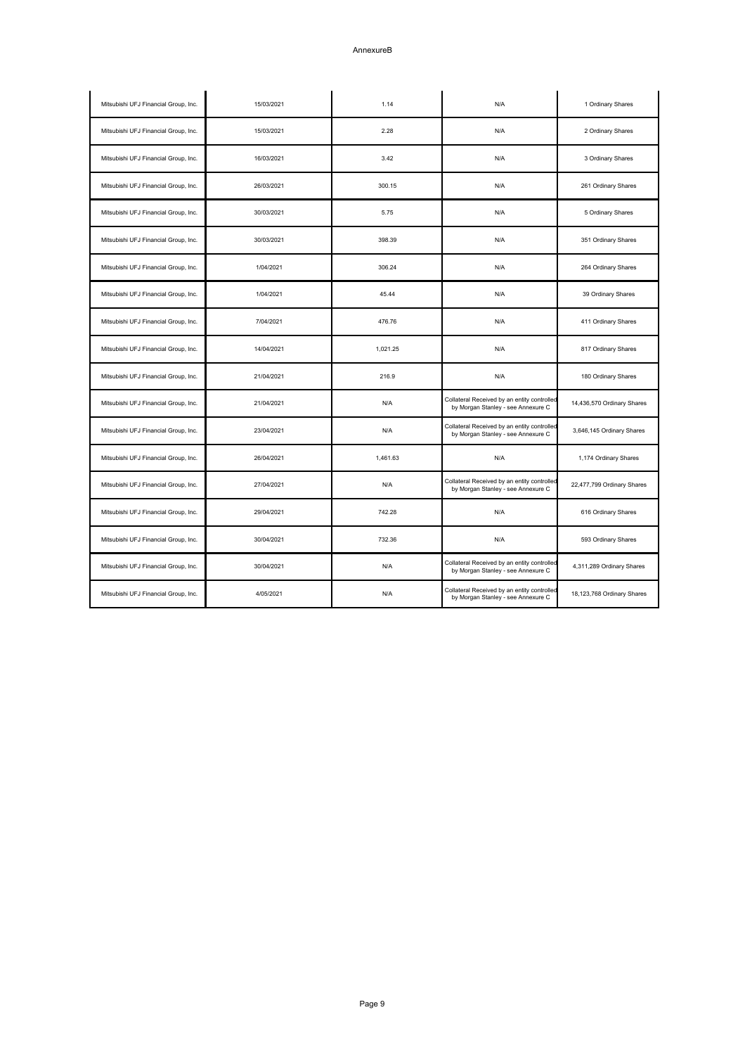## AnnexureB

| Mitsubishi UFJ Financial Group, Inc. | 15/03/2021 | 1.14     | N/A                                                                               | 1 Ordinary Shares          |
|--------------------------------------|------------|----------|-----------------------------------------------------------------------------------|----------------------------|
| Mitsubishi UFJ Financial Group, Inc. | 15/03/2021 | 2.28     | N/A                                                                               | 2 Ordinary Shares          |
| Mitsubishi UFJ Financial Group, Inc. | 16/03/2021 | 3.42     | N/A                                                                               | 3 Ordinary Shares          |
| Mitsubishi UFJ Financial Group, Inc. | 26/03/2021 | 300.15   | N/A                                                                               | 261 Ordinary Shares        |
| Mitsubishi UFJ Financial Group, Inc. | 30/03/2021 | 5.75     | N/A                                                                               | 5 Ordinary Shares          |
| Mitsubishi UFJ Financial Group, Inc. | 30/03/2021 | 398.39   | N/A                                                                               | 351 Ordinary Shares        |
| Mitsubishi UFJ Financial Group, Inc. | 1/04/2021  | 306.24   | N/A                                                                               | 264 Ordinary Shares        |
| Mitsubishi UFJ Financial Group, Inc. | 1/04/2021  | 45.44    | N/A                                                                               | 39 Ordinary Shares         |
| Mitsubishi UFJ Financial Group, Inc. | 7/04/2021  | 476.76   | N/A                                                                               | 411 Ordinary Shares        |
| Mitsubishi UFJ Financial Group, Inc. | 14/04/2021 | 1,021.25 | N/A                                                                               | 817 Ordinary Shares        |
| Mitsubishi UFJ Financial Group, Inc. | 21/04/2021 | 216.9    | N/A                                                                               | 180 Ordinary Shares        |
| Mitsubishi UFJ Financial Group, Inc. | 21/04/2021 | N/A      | Collateral Received by an entity controlled<br>by Morgan Stanley - see Annexure C | 14,436,570 Ordinary Shares |
| Mitsubishi UFJ Financial Group, Inc. | 23/04/2021 | N/A      | Collateral Received by an entity controlled<br>by Morgan Stanley - see Annexure C | 3,646,145 Ordinary Shares  |
| Mitsubishi UFJ Financial Group, Inc. | 26/04/2021 | 1,461.63 | N/A                                                                               | 1,174 Ordinary Shares      |
| Mitsubishi UFJ Financial Group, Inc. | 27/04/2021 | N/A      | Collateral Received by an entity controlled<br>by Morgan Stanley - see Annexure C | 22,477,799 Ordinary Shares |
| Mitsubishi UFJ Financial Group, Inc. | 29/04/2021 | 742.28   | N/A                                                                               | 616 Ordinary Shares        |
| Mitsubishi UFJ Financial Group, Inc. | 30/04/2021 | 732.36   | N/A                                                                               | 593 Ordinary Shares        |
| Mitsubishi UFJ Financial Group, Inc. | 30/04/2021 | N/A      | Collateral Received by an entity controlled<br>by Morgan Stanley - see Annexure C | 4,311,289 Ordinary Shares  |
| Mitsubishi UFJ Financial Group, Inc. | 4/05/2021  | N/A      | Collateral Received by an entity controlled<br>by Morgan Stanley - see Annexure C | 18,123,768 Ordinary Shares |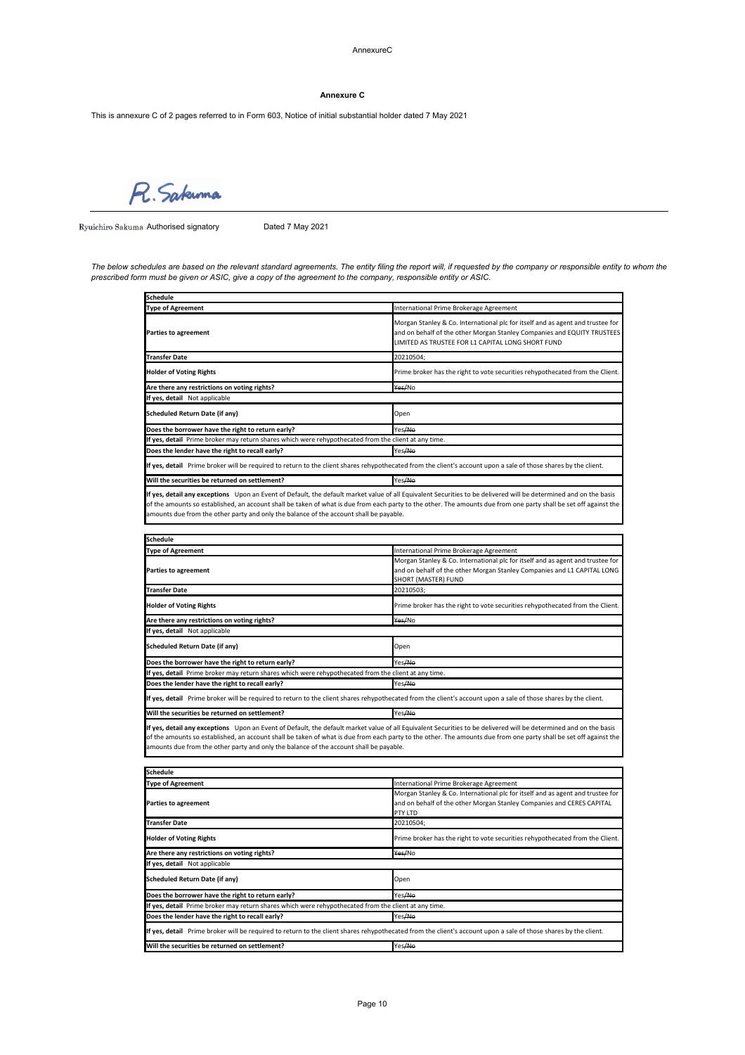AnnexureC

## **Annexure C**

This is annexure C of 2 pages referred to in Form 603, Notice of initial substantial holder dated 7 May 2021

R. Sakuma

Ryuichiro Sakuma Authorised signatory Dated 7 May 2021

The below schedules are based on the relevant standard agreements. The entity filing the report will, if requested by the company or responsible entity to whom the *prescribed form must be given or ASIC, give a copy of the agreement to the company, responsible entity or ASIC.*

| Schedule                                                                                                                                                                                                                                                                                                                                                                                                                         |                                                                                                                                                                                                                |
|----------------------------------------------------------------------------------------------------------------------------------------------------------------------------------------------------------------------------------------------------------------------------------------------------------------------------------------------------------------------------------------------------------------------------------|----------------------------------------------------------------------------------------------------------------------------------------------------------------------------------------------------------------|
| <b>Type of Agreement</b>                                                                                                                                                                                                                                                                                                                                                                                                         | International Prime Brokerage Agreement                                                                                                                                                                        |
| Parties to agreement                                                                                                                                                                                                                                                                                                                                                                                                             | Morgan Stanley & Co. International plc for itself and as agent and trustee for<br>and on behalf of the other Morgan Stanley Companies and EQUITY TRUSTEES<br>LIMITED AS TRUSTEE FOR L1 CAPITAL LONG SHORT FUND |
| <b>Transfer Date</b>                                                                                                                                                                                                                                                                                                                                                                                                             | 20210504;                                                                                                                                                                                                      |
| <b>Holder of Voting Rights</b>                                                                                                                                                                                                                                                                                                                                                                                                   | Prime broker has the right to vote securities rehypothecated from the Client.                                                                                                                                  |
| Are there any restrictions on voting rights?                                                                                                                                                                                                                                                                                                                                                                                     | Yes/No                                                                                                                                                                                                         |
| If yes, detail Not applicable                                                                                                                                                                                                                                                                                                                                                                                                    |                                                                                                                                                                                                                |
| Scheduled Return Date (if any)                                                                                                                                                                                                                                                                                                                                                                                                   | Open                                                                                                                                                                                                           |
| Does the borrower have the right to return early?                                                                                                                                                                                                                                                                                                                                                                                | Yes <del>/No</del>                                                                                                                                                                                             |
| If yes, detail Prime broker may return shares which were rehypothecated from the client at any time.                                                                                                                                                                                                                                                                                                                             |                                                                                                                                                                                                                |
| Does the lender have the right to recall early?                                                                                                                                                                                                                                                                                                                                                                                  | Yes Ale                                                                                                                                                                                                        |
| If yes, detail Prime broker will be required to return to the client shares rehypothecated from the client's account upon a sale of those shares by the client.                                                                                                                                                                                                                                                                  |                                                                                                                                                                                                                |
| Will the securities be returned on settlement?                                                                                                                                                                                                                                                                                                                                                                                   | Yes <del>/No</del>                                                                                                                                                                                             |
| If yes, detail any exceptions Upon an Event of Default, the default market value of all Equivalent Securities to be delivered will be determined and on the basis<br>of the amounts so established, an account shall be taken of what is due from each party to the other. The amounts due from one party shall be set off against the<br>amounts due from the other party and only the balance of the account shall be payable. |                                                                                                                                                                                                                |

| <b>Schedule</b>                                                                                      |                                                                                                                                                                                  |
|------------------------------------------------------------------------------------------------------|----------------------------------------------------------------------------------------------------------------------------------------------------------------------------------|
| <b>Type of Agreement</b>                                                                             | International Prime Brokerage Agreement                                                                                                                                          |
| <b>Parties to agreement</b>                                                                          | Morgan Stanley & Co. International plc for itself and as agent and trustee for<br>and on behalf of the other Morgan Stanley Companies and L1 CAPITAL LONG<br>SHORT (MASTER) FUND |
| <b>Transfer Date</b>                                                                                 | 20210503;                                                                                                                                                                        |
| <b>Holder of Voting Rights</b>                                                                       | Prime broker has the right to vote securities rehypothecated from the Client.                                                                                                    |
| Are there any restrictions on voting rights?                                                         | Yes/No                                                                                                                                                                           |
| If yes, detail Not applicable                                                                        |                                                                                                                                                                                  |
| <b>Scheduled Return Date (if any)</b>                                                                | Open                                                                                                                                                                             |
| Does the borrower have the right to return early?                                                    | Yes/No                                                                                                                                                                           |
| If yes, detail Prime broker may return shares which were rehypothecated from the client at any time. |                                                                                                                                                                                  |
| Does the lender have the right to recall early?                                                      | Yes/No                                                                                                                                                                           |
|                                                                                                      | If yes, detail Prime broker will be required to return to the client shares rehypothecated from the client's account upon a sale of those shares by the client.                  |
| Will the securities be returned on settlement?                                                       | Yes/No                                                                                                                                                                           |

**If yes, detail any exceptions** Upon an Event of Default, the default market value of all Equivalent Securities to be delivered will be determined and on the basis of the amounts so established, an account shall be taken of what is due from each party to the other. The amounts due from one party shall be set off against the amounts due from the other party and only the balance of the account shall be payable.

| Schedule                                                                                                                                                        |                                                                                                                                                                           |  |
|-----------------------------------------------------------------------------------------------------------------------------------------------------------------|---------------------------------------------------------------------------------------------------------------------------------------------------------------------------|--|
| <b>Type of Agreement</b>                                                                                                                                        | International Prime Brokerage Agreement                                                                                                                                   |  |
| Parties to agreement                                                                                                                                            | Morgan Stanley & Co. International plc for itself and as agent and trustee for<br>and on behalf of the other Morgan Stanley Companies and CERES CAPITAL<br><b>PTY LTD</b> |  |
| <b>Transfer Date</b>                                                                                                                                            | 20210504:                                                                                                                                                                 |  |
| <b>Holder of Voting Rights</b>                                                                                                                                  | Prime broker has the right to vote securities rehypothecated from the Client.                                                                                             |  |
| Are there any restrictions on voting rights?                                                                                                                    | Yes/No                                                                                                                                                                    |  |
| If yes, detail Not applicable                                                                                                                                   |                                                                                                                                                                           |  |
| Scheduled Return Date (if any)                                                                                                                                  | Open                                                                                                                                                                      |  |
| Does the borrower have the right to return early?                                                                                                               | Yes/No                                                                                                                                                                    |  |
| If yes, detail Prime broker may return shares which were rehypothecated from the client at any time.                                                            |                                                                                                                                                                           |  |
| Does the lender have the right to recall early?                                                                                                                 | Yes/No                                                                                                                                                                    |  |
| If yes, detail Prime broker will be required to return to the client shares rehypothecated from the client's account upon a sale of those shares by the client. |                                                                                                                                                                           |  |
| Will the securities be returned on settlement?                                                                                                                  | Yes <del>/No</del>                                                                                                                                                        |  |